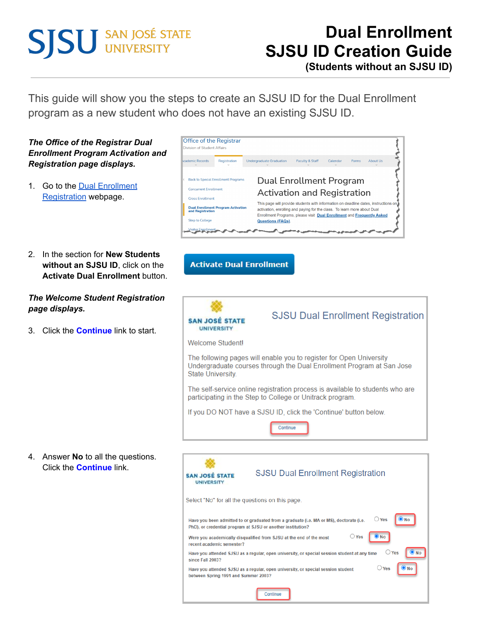# **SISU SAN JOSÉ STATE**

# **Dual Enrollment SJSU ID Creation Guide**

**(Students without an SJSU ID)**

This guide will show you the steps to create an SJSU ID for the Dual Enrollment program as a new student who does not have an existing SJSU ID.



Continue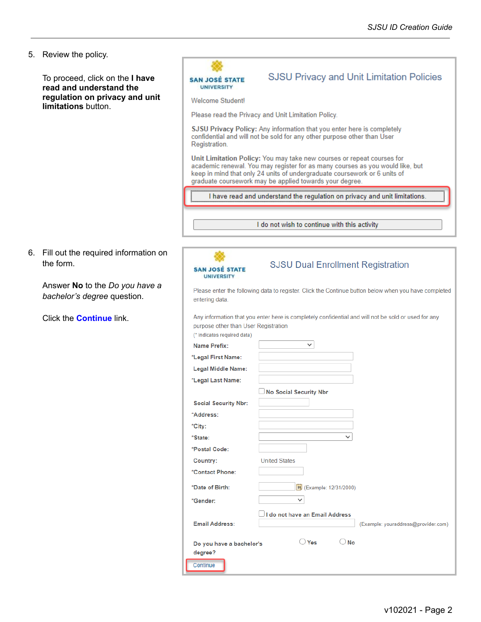5. Review the policy.

| 5. Review the policy.                                      |                                            |                                                                                                                                                                                                                                                                                                 |
|------------------------------------------------------------|--------------------------------------------|-------------------------------------------------------------------------------------------------------------------------------------------------------------------------------------------------------------------------------------------------------------------------------------------------|
|                                                            |                                            |                                                                                                                                                                                                                                                                                                 |
| To proceed, click on the I have<br>read and understand the | <b>SAN JOSÉ STATE</b><br><b>UNIVERSITY</b> | <b>SJSU Privacy and Unit Limitation Policies</b>                                                                                                                                                                                                                                                |
| regulation on privacy and unit<br>limitations button.      | <b>Welcome Student!</b>                    |                                                                                                                                                                                                                                                                                                 |
|                                                            |                                            | Please read the Privacy and Unit Limitation Policy.                                                                                                                                                                                                                                             |
|                                                            |                                            | SJSU Privacy Policy: Any information that you enter here is completely                                                                                                                                                                                                                          |
|                                                            | Registration.                              | confidential and will not be sold for any other purpose other than User                                                                                                                                                                                                                         |
|                                                            |                                            | Unit Limitation Policy: You may take new courses or repeat courses for<br>academic renewal. You may register for as many courses as you would like, but<br>keep in mind that only 24 units of undergraduate coursework or 6 units of<br>graduate coursework may be applied towards your degree. |
|                                                            |                                            | I have read and understand the regulation on privacy and unit limitations.                                                                                                                                                                                                                      |
|                                                            |                                            |                                                                                                                                                                                                                                                                                                 |
|                                                            |                                            | I do not wish to continue with this activity                                                                                                                                                                                                                                                    |
|                                                            |                                            |                                                                                                                                                                                                                                                                                                 |
| 6. Fill out the required information on                    |                                            |                                                                                                                                                                                                                                                                                                 |
| the form.                                                  |                                            | <b>SJSU Dual Enrollment Registration</b>                                                                                                                                                                                                                                                        |
|                                                            | <b>SAN JOSÉ STATE</b><br><b>UNIVERSITY</b> |                                                                                                                                                                                                                                                                                                 |
| Answer No to the Do you have a                             |                                            | Please enter the following data to register. Click the Continue button below when you have completed                                                                                                                                                                                            |
| bachelor's degree question.                                | entering data.                             |                                                                                                                                                                                                                                                                                                 |
| Click the <b>Continue</b> link.                            | purpose other than User Registration       | Any information that you enter here is completely confidential and will not be sold or used for any                                                                                                                                                                                             |
|                                                            | (* indicates required data)                |                                                                                                                                                                                                                                                                                                 |
|                                                            | <b>Name Prefix:</b>                        | $\checkmark$                                                                                                                                                                                                                                                                                    |
|                                                            | *Legal First Name:                         |                                                                                                                                                                                                                                                                                                 |
|                                                            | <b>Legal Middle Name:</b>                  |                                                                                                                                                                                                                                                                                                 |
|                                                            | *Legal Last Name:                          |                                                                                                                                                                                                                                                                                                 |
|                                                            |                                            | No Social Security Nbr                                                                                                                                                                                                                                                                          |
|                                                            | <b>Social Security Nbr:</b>                |                                                                                                                                                                                                                                                                                                 |
|                                                            | *Address:                                  |                                                                                                                                                                                                                                                                                                 |
|                                                            | *City:<br>*State:                          | $\checkmark$                                                                                                                                                                                                                                                                                    |
|                                                            | *Postal Code:                              |                                                                                                                                                                                                                                                                                                 |
|                                                            | Country:                                   | <b>United States</b>                                                                                                                                                                                                                                                                            |
|                                                            | *Contact Phone:                            |                                                                                                                                                                                                                                                                                                 |
|                                                            | *Date of Birth:                            | B1 (Example: 12/31/2000)                                                                                                                                                                                                                                                                        |
|                                                            | *Gender:                                   | $\checkmark$                                                                                                                                                                                                                                                                                    |
|                                                            |                                            | I do not have an Email Address                                                                                                                                                                                                                                                                  |
|                                                            | <b>Email Address:</b>                      | (Example: youraddress@provider.com)                                                                                                                                                                                                                                                             |
|                                                            | Do you have a bachelor's<br>degree?        | $\bigcirc$ No<br>$\bigcirc$ Yes                                                                                                                                                                                                                                                                 |

Continue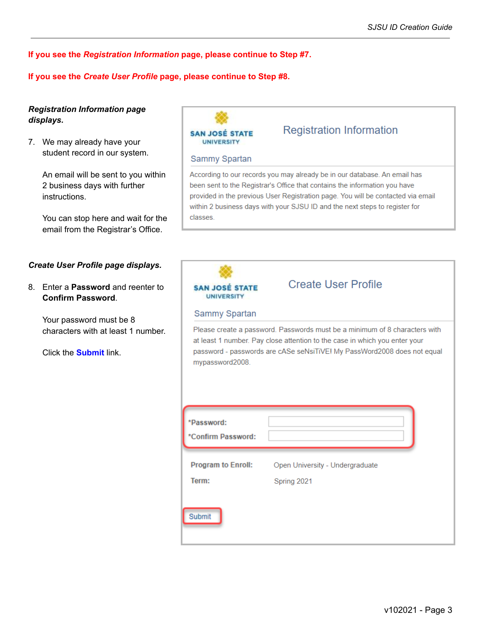**If you see the** *Registration Information* **page, please continue to Step #7.**

#### **If you see the** *Create User Profile* **page, please continue to Step #8.**

### *Registration Information page displays.*

7. We may already have your student record in our system.

> An email will be sent to you within 2 business days with further instructions.

> You can stop here and wait for the email from the Registrar's Office.

#### *Create User Profile page displays.*

8. Enter a **Password** and reenter to **Confirm Password**.

> Your password must be 8 characters with at least 1 number.

Click the **Submit** link.

**SAN JOSÉ STATE UNIVERSITY** 

#### **Sammy Spartan**

According to our records you may already be in our database. An email has been sent to the Registrar's Office that contains the information you have provided in the previous User Registration page. You will be contacted via email within 2 business days with your SJSU ID and the next steps to register for classes.

**Registration Information** 

| <b>SAN JOSÉ STATE</b><br><b>UNIVERSITY</b>                    | <b>Create User Profile</b>                                                                                                                            |
|---------------------------------------------------------------|-------------------------------------------------------------------------------------------------------------------------------------------------------|
| Sammy Spartan                                                 |                                                                                                                                                       |
| mypassword2008.                                               | at least 1 number. Pay close attention to the case in which you enter your<br>password - passwords are cASe seNsiTiVE! My PassWord2008 does not equal |
|                                                               |                                                                                                                                                       |
|                                                               |                                                                                                                                                       |
|                                                               |                                                                                                                                                       |
| *Password:<br>*Confirm Password:<br><b>Program to Enroll:</b> | Open University - Undergraduate                                                                                                                       |
| Term:                                                         | Spring 2021                                                                                                                                           |